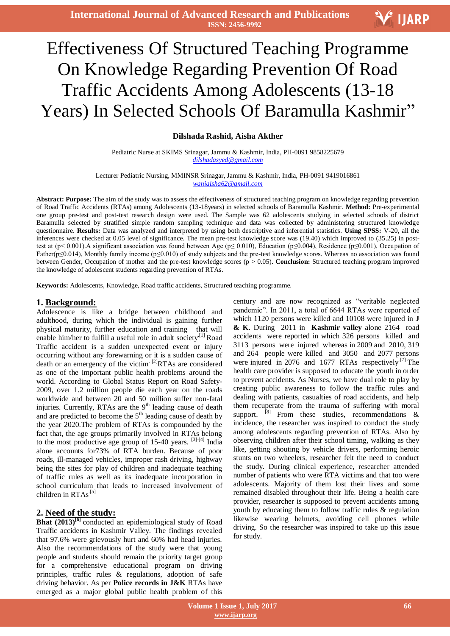# I Effectiveness Of Structured Teaching Programme On Knowledge Regarding Prevention Of Road Traffic Accidents Among Adolescents (13-18 Years) In Selected Schools Of Baramulla Kashmir"

# **Dilshada Rashid, Aisha Akther**

Pediatric Nurse at SKIMS Srinagar, Jammu & Kashmir, India, PH-0091 9858225679 *dilshadasyed@gmail.com*

Lecturer Pediatric Nursing, MMINSR Srinagar, Jammu & Kashmir, India, PH-0091 9419016861 *waniaisha62@gmail.com*

**Abstract: Purpose:** The aim of the study was to assess the effectiveness of structured teaching program on knowledge regarding prevention of Road Traffic Accidents (RTAs) among Adolescents (13-18years) in selected schools of Baramulla Kashmir. **Method:** Pre-experimental one group pre-test and post-test research design were used. The Sample was 62 adolescents studying in selected schools of district Baramulla selected by stratified simple random sampling technique and data was collected by administering structured knowledge questionnaire. **Results:** Data was analyzed and interpreted by using both descriptive and inferential statistics. **Using SPSS:** V-20, all the inferences were checked at 0.05 level of significance. The mean pre-test knowledge score was (19.40) which improved to (35.25) in posttest at (p< 0.001).A significant association was found between Age (p≤ 0.010), Education (p≤0.004), Residence (p≤0.001), Occupation of Father( $p \le 0.014$ ), Monthly family income ( $p \le 0.010$ ) of study subjects and the pre-test knowledge scores. Whereas no association was found between Gender, Occupation of mother and the pre-test knowledge scores (p > 0.05). **Conclusion:** Structured teaching program improved the knowledge of adolescent students regarding prevention of RTAs.

**Keywords:** Adolescents, Knowledge, Road traffic accidents, Structured teaching programme.

#### **1. Background:**

Adolescence is like a bridge between childhood and adulthood, during which the individual is gaining further physical maturity, further education and training that will enable him/her to fulfill a useful role in adult society.<sup>[1]</sup> Road Traffic accident is a sudden unexpected event or injury occurring without any forewarning or it is a sudden cause of death or an emergency of the victim<sup>'[2]</sup>RTAs are considered as one of the important public health problems around the world. According to Global Status Report on Road Safety-2009, over 1.2 million people die each year on the roads worldwide and between 20 and 50 million suffer non-fatal injuries. Currently, RTAs are the 9<sup>th</sup> leading cause of death and are predicted to become the  $5<sup>th</sup>$  leading cause of death by the year 2020.The problem of RTAs is compounded by the fact that, the age groups primarily involved in RTAs belong to the most productive age group of 15-40 years. <sup>[3]-[4]</sup> India alone accounts for73% of RTA burden. Because of poor roads, ill-managed vehicles, improper rash driving, highway being the sites for play of children and inadequate teaching of traffic rules as well as its inadequate incorporation in school curriculum that leads to increased involvement of children in  $RTAs$ <sup>[5]</sup>

# **2. Need of the study:**

Bhat (2013)<sup>[6]</sup> conducted an epidemiological study of Road Traffic accidents in Kashmir Valley. The findings revealed that 97.6% were grievously hurt and 60% had head injuries. Also the recommendations of the study were that young people and students should remain the priority target group for a comprehensive educational program on driving principles, traffic rules & regulations, adoption of safe driving behavior. As per **Police records in J&K** RTAs have emerged as a major global public health problem of this

century and are now recognized as "veritable neglected pandemic". In 2011, a total of 6644 RTAs were reported of which 1120 persons were killed and 10108 were injured in **J & K**. During 2011 in **Kashmir valley** alone 2164 road accidents were reported in which 326 persons killed and 3113 persons were injured whereas in 2009 and 2010, 319 and 264 people were killed and 3050 and 2077 persons were injured in 2076 and 1677 RTAs respectively.<sup>[7]</sup> The health care provider is supposed to educate the youth in order to prevent accidents. As Nurses, we have dual role to play by creating public awareness to follow the traffic rules and dealing with patients, casualties of road accidents, and help them recuperate from the trauma of suffering with moral support.  $[8]$  From these studies, recommendations & incidence, the researcher was inspired to conduct the study among adolescents regarding prevention of RTAs. Also by observing children after their school timing, walking as they like, getting shouting by vehicle drivers, performing heroic stunts on two wheelers, researcher felt the need to conduct the study. During clinical experience, researcher attended number of patients who were RTA victims and that too were adolescents. Majority of them lost their lives and some remained disabled throughout their life. Being a health care provider, researcher is supposed to prevent accidents among youth by educating them to follow traffic rules & regulation likewise wearing helmets, avoiding cell phones while driving. So the researcher was inspired to take up this issue for study.

V IJARP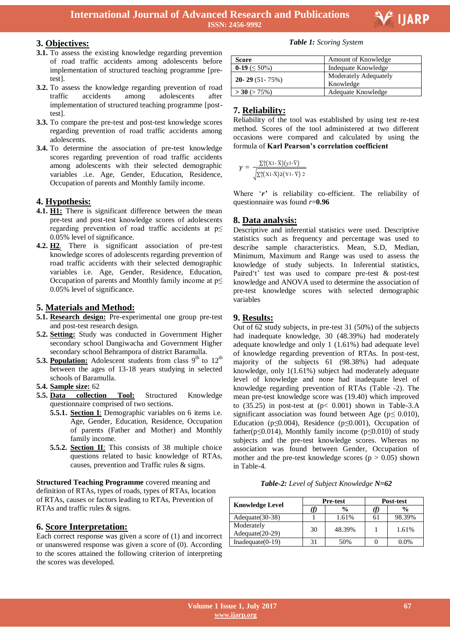

# **3. Objectives:**

- **3.1.** To assess the existing knowledge regarding prevention of road traffic accidents among adolescents before implementation of structured teaching programme [pretest].
- **3.2.** To assess the knowledge regarding prevention of road traffic accidents among adolescents after implementation of structured teaching programme [posttest].
- **3.3.** To compare the pre-test and post-test knowledge scores regarding prevention of road traffic accidents among adolescents.
- **3.4.** To determine the association of pre-test knowledge scores regarding prevention of road traffic accidents among adolescents with their selected demographic variables .i.e. Age, Gender, Education, Residence, Occupation of parents and Monthly family income.

# **4. Hypothesis:**

- **4.1. H1:** There is significant difference between the mean pre-test and post-test knowledge scores of adolescents regarding prevention of road traffic accidents at p≤ 0.05% level of significance.
- **4.2. H2:** There is significant association of pre-test knowledge scores of adolescents regarding prevention of road traffic accidents with their selected demographic variables i.e. Age, Gender, Residence, Education, Occupation of parents and Monthly family income at p≤ 0.05% level of significance.

#### **5. Materials and Method:**

- **5.1. Research design:** Pre-experimental one group pre-test and post-test research design.
- **5.2. Setting:** Study was conducted in Government Higher secondary school Dangiwacha and Government Higher secondary school Behrampora of district Baramulla.
- **5.3. Population:** Adolescent students from class 9<sup>th</sup> to 12<sup>th</sup> between the ages of 13-18 years studying in selected schools of Baramulla.
- **5.4. Sample size:** 62
- **5.5. Data collection Tool:** Structured Knowledge questionnaire comprised of two sections.
	- **5.5.1. Section I**: Demographic variables on 6 items i.e. Age, Gender, Education, Residence, Occupation of parents (Father and Mother) and Monthly family income.
	- **5.5.2. Section II**: This consists of 38 multiple choice questions related to basic knowledge of RTAs, causes, prevention and Traffic rules & signs.

**Structured Teaching Programme** covered meaning and definition of RTAs, types of roads, types of RTAs, location of RTAs, causes or factors leading to RTAs, Prevention of RTAs and traffic rules & signs.

# **6. Score Interpretation:**

Each correct response was given a score of (1) and incorrect or unanswered response was given a score of (0). According to the scores attained the following criterion of interpreting the scores was developed.

#### *Table 1: Scoring System*

| <b>Score</b>          | Amount of Knowledge                |  |  |
|-----------------------|------------------------------------|--|--|
| 0-19 ( $\leq$ 50%)    | Indequate Knowledge                |  |  |
| <b>20-29</b> (51-75%) | Moderately Adequately<br>Knowledge |  |  |
| >30 (> 75%)           | Adequate Knowledge                 |  |  |

# **7. Reliability:**

Reliability of the tool was established by using test re-test method. Scores of the tool administered at two different occasions were compared and calculated by using the formula of **Karl Pearson's correlation coefficient**

$$
\gamma=\frac{\Sigma_1^n(X{\mathbf 1}\text{-}\overline{X})(y{\mathbf 1}\text{-}\overline{Y})}{\sqrt{\Sigma_1^n(X{\mathbf 1}\text{-}\overline{X}){\mathbf 2}(Y{\mathbf 1}\text{-}\overline{Y})\ {\mathbf 2}}}
$$

Where "*r'* is reliability co-efficient. The reliability of questionnaire was found *r*=**0.96**

# **8. Data analysis:**

Descriptive and inferential statistics were used. Descriptive statistics such as frequency and percentage was used to describe sample characteristics. Mean, S.D, Median, Minimum, Maximum and Range was used to assess the knowledge of study subjects. In Inferential statistics, Paired't' test was used to compare pre-test & post-test knowledge and ANOVA used to determine the association of pre-test knowledge scores with selected demographic variables

# **9. Results:**

Out of 62 study subjects, in pre-test 31 (50%) of the subjects had inadequate knowledge, 30 (48.39%) had moderately adequate knowledge and only 1 (1.61%) had adequate level of knowledge regarding prevention of RTAs. In post-test, majority of the subjects 61 (98.38%) had adequate knowledge, only 1(1.61%) subject had moderately adequate level of knowledge and none had inadequate level of knowledge regarding prevention of RTAs (Table -2). The mean pre-test knowledge score was (19.40) which improved to  $(35.25)$  in post-test at  $(p< 0.001)$  shown in Table-3.A significant association was found between Age (p*≤* 0.010), Education (p*≤*0.004), Residence (p*≤*0.001), Occupation of father(p*≤*0.014), Monthly family income (p*≤*0.010) of study subjects and the pre-test knowledge scores. Whereas no association was found between Gender, Occupation of mother and the pre-test knowledge scores ( $p > 0.05$ ) shown in Table-4*.*

*Table-2: Level of Subject Knowledge N=62*

|                               |    | <b>Pre-test</b> |    | Post-test     |  |
|-------------------------------|----|-----------------|----|---------------|--|
| <b>Knowledge Level</b>        |    | $\frac{0}{0}$   |    | $\frac{0}{0}$ |  |
| Adequate (30-38)              |    | 1.61%           | 61 | 98.39%        |  |
| Moderately<br>Adequate(20-29) | 30 | 48.39%          |    | 1.61%         |  |
| $Inadequate(0-19)$            | 31 | 50%             |    | 0.0%          |  |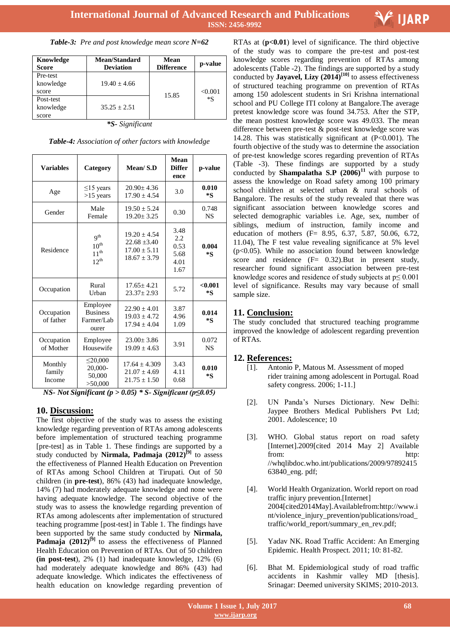

|  |  |  | <b>Table-3:</b> Pre and post knowledge mean score N=62 |  |
|--|--|--|--------------------------------------------------------|--|
|--|--|--|--------------------------------------------------------|--|

| Knowledge<br>Score              | Mean/Standard<br><b>Deviation</b> | Mean<br><b>Difference</b> | p-value |
|---------------------------------|-----------------------------------|---------------------------|---------|
| Pre-test<br>knowledge<br>score  | $19.40 + 4.66$                    | 15.85                     | < 0.001 |
| Post-test<br>knowledge<br>score | $35.25 + 2.51$                    |                           | *S      |

*\*S- Significant*

| Table-4: Association of other factors with knowledge |  |  |
|------------------------------------------------------|--|--|
|------------------------------------------------------|--|--|

| <b>Variables</b>            | Category                                                      | Mean/S.D                                                                     | <b>Mean</b><br><b>Differ</b><br>ence        | p-value            |
|-----------------------------|---------------------------------------------------------------|------------------------------------------------------------------------------|---------------------------------------------|--------------------|
| Age                         | $\leq$ 15 years<br>$>15$ years                                | $20.90 + 4.36$<br>$17.90 + 4.54$                                             | 3.0                                         | 0.010<br>*S        |
| Gender                      | Male<br>Female                                                | $19.50 \pm 5.24$<br>$19.20 \pm 3.25$                                         | 0.30                                        | 0.748<br><b>NS</b> |
| Residence                   | 9 <sup>th</sup><br>10 <sup>th</sup><br>$11^{th}$<br>$12^{th}$ | $19.20 \pm 4.54$<br>$22.68 \pm 3.40$<br>$17.00 \pm 5.11$<br>$18.67 \pm 3.79$ | 3.48<br>2.2<br>0.53<br>5.68<br>4.01<br>1.67 | 0.004<br>*S        |
| Occupation                  | Rural<br>Urban                                                | $17.65 + 4.21$<br>$23.37 \pm 2.93$                                           | 5.72                                        | < 0.001<br>*S      |
| Occupation<br>of father     | Employee<br><b>Business</b><br>Farmer/Lab<br>ourer            | $22.90 + 4.01$<br>$19.03 + 4.72$<br>$17.94 + 4.04$                           | 3.87<br>4.96<br>1.09                        | 0.014<br>*S        |
| Occupation<br>of Mother     | Employee<br>Housewife                                         | $23.00 + 3.86$<br>$19.09 + 4.63$                                             | 3.91                                        | 0.072<br><b>NS</b> |
| Monthly<br>family<br>Income | $\leq$ 20,000<br>$20,000-$<br>50,000<br>>50,000               | $17.64 \pm 4.309$<br>$21.07 \pm 4.69$<br>$21.75 \pm 1.50$                    | 3.43<br>4.11<br>0.68                        | 0.010<br>*S        |

*NS- Not Significant (p > 0.05) \* S- Significant (p≤0.05)*

#### **10. Discussion:**

The first objective of the study was to assess the existing knowledge regarding prevention of RTAs among adolescents before implementation of structured teaching programme [pre-test] as in Table 1. These findings are supported by a study conducted by **Nirmala, Padmaja** (2012)<sup>[9]</sup> to assess the effectiveness of Planned Health Education on Prevention of RTAs among School Children at Tirupati. Out of 50 children (in **pre-test**), 86% (43) had inadequate knowledge, 14% (7) had moderately adequate knowledge and none were having adequate knowledge. The second objective of the study was to assess the knowledge regarding prevention of RTAs among adolescents after implementation of structured teaching programme [post-test] in Table 1. The findings have been supported by the same study conducted by **Nirmala, Padmaja**  $(2012)^{9}$  to assess the effectiveness of Planned Health Education on Prevention of RTAs. Out of 50 children **(in post-test**), 2% (1) had inadequate knowledge, 12% (6) had moderately adequate knowledge and 86% (43) had adequate knowledge. Which indicates the effectiveness of health education on knowledge regarding prevention of

 RTAs at (**p<0.01**) level of significance. The third objective of the study was to compare the pre-test and post-test knowledge scores regarding prevention of RTAs among adolescents (Table -2). The findings are supported by a study conducted by **Jayavel, Lizy (2014) [10]** to assess effectiveness of structured teaching programme on prevention of RTAs among 150 adolescent students in Sri Krishna international school and PU College ITI colony at Bangalore.The average pretest knowledge score was found 34.753. After the STP, the mean posttest knowledge score was 49.033. The mean difference between pre-test & post-test knowledge score was 14.28. This was statistically significant at (P<0.001). The fourth objective of the study was to determine the association of pre-test knowledge scores regarding prevention of RTAs (Table -3). These findings are supported by a study conducted by **Shampalatha S.P**  $(2006)^{11}$  with purpose to assess the knowledge on Road safety among 100 primary school children at selected urban & rural schools of Bangalore. The results of the study revealed that there was significant association between knowledge scores and selected demographic variables i.e. Age, sex, number of siblings, medium of instruction, family income and education of mothers (F= 8.95, 6.37, 5.87, 50.06, 6.72, 11.04), The F test value revealing significance at 5% level (p<0.05). While no association found between knowledge score and residence (F= 0.32).But in present study, researcher found significant association between pre-test knowledge scores and residence of study subjects at  $p \le 0.001$ level of significance. Results may vary because of small sample size.

# **11. Conclusion:**

The study concluded that structured teaching programme improved the knowledge of adolescent regarding prevention of RTAs.

#### **12. References:**

- [1]. Antonio P, Matous M. Assessment of moped rider training among adolescent in Portugal. Road safety congress. 2006; 1-11.]
- [2]. UN Panda"s Nurses Dictionary. New Delhi: Jaypee Brothers Medical Publishers Pvt Ltd; 2001. Adolescence; 10
- [3]. WHO. Global status report on road safety [Internet].2009[cited 2014 May 2] Available from: http: //whqlibdoc.who.int/publications/2009/97892415 63840\_eng. pdf;
- [4]. World Health Organization. World report on road traffic injury prevention.[Internet] 2004[cited2014May].Availablefrom:http://www.i nt/violence\_injury\_prevention/publications/road\_ traffic/world\_report/summary\_en\_rev.pdf;
- [5]. Yadav NK. Road Traffic Accident: An Emerging Epidemic. Health Prospect. 2011; 10: 81-82.
- [6]. Bhat M. Epidemiological study of road traffic accidents in Kashmir valley MD [thesis]. Srinagar: Deemed university SKIMS; 2010-2013.